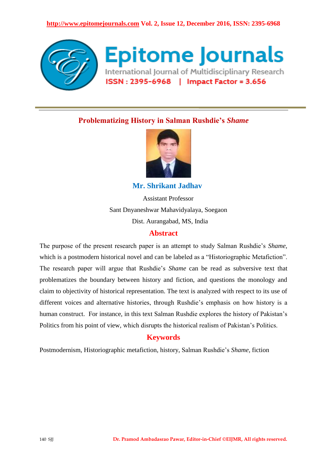

# **Problematizing History in Salman Rushdie's** *Shame*



 **Mr. Shrikant Jadhav**

Assistant Professor Sant Dnyaneshwar Mahavidyalaya, Soegaon Dist. Aurangabad, MS, India

## **Abstract**

The purpose of the present research paper is an attempt to study Salman Rushdie's *Shame,*  which is a postmodern historical novel and can be labeled as a "Historiographic Metafiction". The research paper will argue that Rushdie's *Shame* can be read as subversive text that problematizes the boundary between history and fiction, and questions the monology and claim to objectivity of historical representation. The text is analyzed with respect to its use of different voices and alternative histories, through Rushdie's emphasis on how history is a human construct. For instance, in this text Salman Rushdie explores the history of Pakistan's Politics from his point of view, which disrupts the historical realism of Pakistan's Politics.

## **Keywords**

Postmodernism, Historiographic metafiction, history, Salman Rushdie's *Shame,* fiction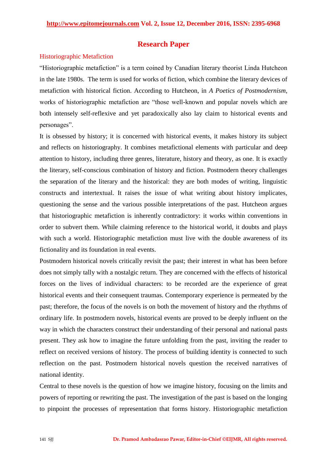## **Research Paper**

## Historiographic Metafiction

"Historiographic metafiction" is a term coined by Canadian literary theorist Linda Hutcheon in the late 1980s. The term is used for works of fiction, which combine the literary devices of metafiction with historical fiction. According to Hutcheon, in *A Poetics of Postmodernism*, works of historiographic metafiction are "those well-known and popular novels which are both intensely self-reflexive and yet paradoxically also lay claim to historical events and personages".

It is obsessed by history; it is concerned with historical events, it makes history its subject and reflects on historiography. It combines metafictional elements with particular and deep attention to history, including three genres, literature, history and theory, as one. It is exactly the literary, self-conscious combination of history and fiction. Postmodern theory challenges the separation of the literary and the historical: they are both modes of writing, linguistic constructs and intertextual. It raises the issue of what writing about history implicates, questioning the sense and the various possible interpretations of the past. Hutcheon argues that historiographic metafiction is inherently contradictory: it works within conventions in order to subvert them. While claiming reference to the historical world, it doubts and plays with such a world. Historiographic metafiction must live with the double awareness of its fictionality and its foundation in real events.

Postmodern historical novels critically revisit the past; their interest in what has been before does not simply tally with a nostalgic return. They are concerned with the effects of historical forces on the lives of individual characters: to be recorded are the experience of great historical events and their consequent traumas. Contemporary experience is permeated by the past; therefore, the focus of the novels is on both the movement of history and the rhythms of ordinary life. In postmodern novels, historical events are proved to be deeply influent on the way in which the characters construct their understanding of their personal and national pasts present. They ask how to imagine the future unfolding from the past, inviting the reader to reflect on received versions of history. The process of building identity is connected to such reflection on the past. Postmodern historical novels question the received narratives of national identity.

Central to these novels is the question of how we imagine history, focusing on the limits and powers of reporting or rewriting the past. The investigation of the past is based on the longing to pinpoint the processes of representation that forms history. Historiographic metafiction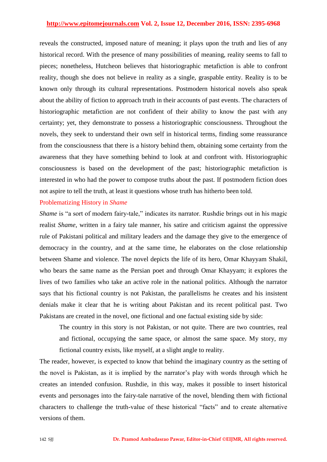#### **http://www.epitomejournals.com Vol. 2, Issue 12, December 2016, ISSN: 2395-6968**

reveals the constructed, imposed nature of meaning; it plays upon the truth and lies of any historical record. With the presence of many possibilities of meaning, reality seems to fall to pieces; nonetheless, Hutcheon believes that historiographic metafiction is able to confront reality, though she does not believe in reality as a single, graspable entity. Reality is to be known only through its cultural representations. Postmodern historical novels also speak about the ability of fiction to approach truth in their accounts of past events. The characters of historiographic metafiction are not confident of their ability to know the past with any certainty; yet, they demonstrate to possess a historiographic consciousness. Throughout the novels, they seek to understand their own self in historical terms, finding some reassurance from the consciousness that there is a history behind them, obtaining some certainty from the awareness that they have something behind to look at and confront with. Historiographic consciousness is based on the development of the past; historiographic metafiction is interested in who had the power to compose truths about the past. If postmodern fiction does not aspire to tell the truth, at least it questions whose truth has hitherto been told.

### Problematizing History in *Shame*

*Shame* is "a sort of modern fairy-tale," indicates its narrator. Rushdie brings out in his magic realist *Shame*, written in a fairy tale manner, his satire and criticism against the oppressive rule of Pakistani political and military leaders and the damage they give to the emergence of democracy in the country, and at the same time, he elaborates on the close relationship between Shame and violence. The novel depicts the life of its hero, Omar Khayyam Shakil, who bears the same name as the Persian poet and through Omar Khayyam; it explores the lives of two families who take an active role in the national politics. Although the narrator says that his fictional country is not Pakistan, the parallelisms he creates and his insistent denials make it clear that he is writing about Pakistan and its recent political past. Two Pakistans are created in the novel, one fictional and one factual existing side by side:

The country in this story is not Pakistan, or not quite. There are two countries, real and fictional, occupying the same space, or almost the same space. My story, my fictional country exists, like myself, at a slight angle to reality.

The reader, however, is expected to know that behind the imaginary country as the setting of the novel is Pakistan, as it is implied by the narrator's play with words through which he creates an intended confusion. Rushdie, in this way, makes it possible to insert historical events and personages into the fairy-tale narrative of the novel, blending them with fictional characters to challenge the truth-value of these historical "facts" and to create alternative versions of them.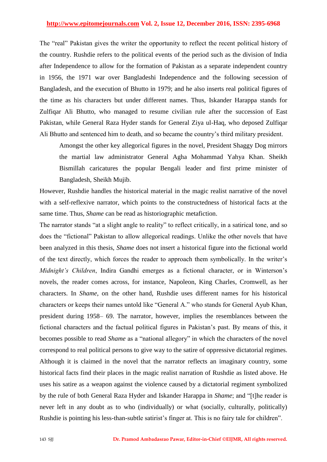## **http://www.epitomejournals.com Vol. 2, Issue 12, December 2016, ISSN: 2395-6968**

The "real" Pakistan gives the writer the opportunity to reflect the recent political history of the country. Rushdie refers to the political events of the period such as the division of India after Independence to allow for the formation of Pakistan as a separate independent country in 1956, the 1971 war over Bangladeshi Independence and the following secession of Bangladesh, and the execution of Bhutto in 1979; and he also inserts real political figures of the time as his characters but under different names. Thus, Iskander Harappa stands for Zulfiqar Ali Bhutto, who managed to resume civilian rule after the succession of East Pakistan, while General Raza Hyder stands for General Ziya ul-Haq, who deposed Zulfiqar Ali Bhutto and sentenced him to death, and so became the country's third military president.

Amongst the other key allegorical figures in the novel, President Shaggy Dog mirrors the martial law administrator General Agha Mohammad Yahya Khan. Sheikh Bismillah caricatures the popular Bengali leader and first prime minister of Bangladesh, Sheikh Mujib.

However, Rushdie handles the historical material in the magic realist narrative of the novel with a self-reflexive narrator, which points to the constructedness of historical facts at the same time. Thus, *Shame* can be read as historiographic metafiction.

The narrator stands "at a slight angle to reality" to reflect critically, in a satirical tone, and so does the "fictional" Pakistan to allow allegorical readings. Unlike the other novels that have been analyzed in this thesis, *Shame* does not insert a historical figure into the fictional world of the text directly, which forces the reader to approach them symbolically. In the writer's *Midnight's Children*, Indira Gandhi emerges as a fictional character, or in Winterson's novels, the reader comes across, for instance, Napoleon, King Charles, Cromwell, as her characters. In *Shame*, on the other hand, Rushdie uses different names for his historical characters or keeps their names untold like "General A." who stands for General Ayub Khan, president during 1958– 69. The narrator, however, implies the resemblances between the fictional characters and the factual political figures in Pakistan's past. By means of this, it becomes possible to read *Shame* as a "national allegory" in which the characters of the novel correspond to real political persons to give way to the satire of oppressive dictatorial regimes. Although it is claimed in the novel that the narrator reflects an imaginary country, some historical facts find their places in the magic realist narration of Rushdie as listed above. He uses his satire as a weapon against the violence caused by a dictatorial regiment symbolized by the rule of both General Raza Hyder and Iskander Harappa in *Shame*; and "[t]he reader is never left in any doubt as to who (individually) or what (socially, culturally, politically) Rushdie is pointing his less-than-subtle satirist's finger at. This is no fairy tale for children".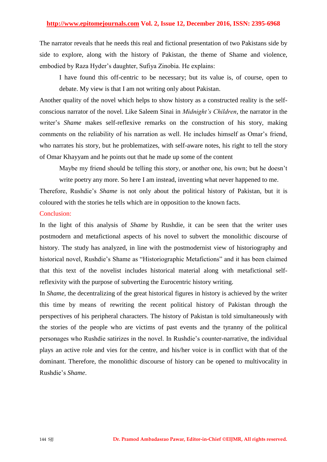The narrator reveals that he needs this real and fictional presentation of two Pakistans side by side to explore, along with the history of Pakistan, the theme of Shame and violence, embodied by Raza Hyder's daughter, Sufiya Zinobia. He explains:

I have found this off-centric to be necessary; but its value is, of course, open to debate. My view is that I am not writing only about Pakistan.

Another quality of the novel which helps to show history as a constructed reality is the selfconscious narrator of the novel. Like Saleem Sinai in *Midnight's Children*, the narrator in the writer's *Shame* makes self-reflexive remarks on the construction of his story, making comments on the reliability of his narration as well. He includes himself as Omar's friend, who narrates his story, but he problematizes, with self-aware notes, his right to tell the story of Omar Khayyam and he points out that he made up some of the content

Maybe my friend should be telling this story, or another one, his own; but he doesn't

write poetry any more. So here I am instead, inventing what never happened to me.

Therefore, Rushdie's *Shame* is not only about the political history of Pakistan, but it is coloured with the stories he tells which are in opposition to the known facts.

## Conclusion:

In the light of this analysis of *Shame* by Rushdie, it can be seen that the writer uses postmodern and metafictional aspects of his novel to subvert the monolithic discourse of history. The study has analyzed, in line with the postmodernist view of historiography and historical novel, Rushdie's Shame as "Historiographic Metafictions" and it has been claimed that this text of the novelist includes historical material along with metafictional selfreflexivity with the purpose of subverting the Eurocentric history writing.

In *Shame*, the decentralizing of the great historical figures in history is achieved by the writer this time by means of rewriting the recent political history of Pakistan through the perspectives of his peripheral characters. The history of Pakistan is told simultaneously with the stories of the people who are victims of past events and the tyranny of the political personages who Rushdie satirizes in the novel. In Rushdie's counter-narrative, the individual plays an active role and vies for the centre, and his/her voice is in conflict with that of the dominant. Therefore, the monolithic discourse of history can be opened to multivocality in Rushdie's *Shame*.